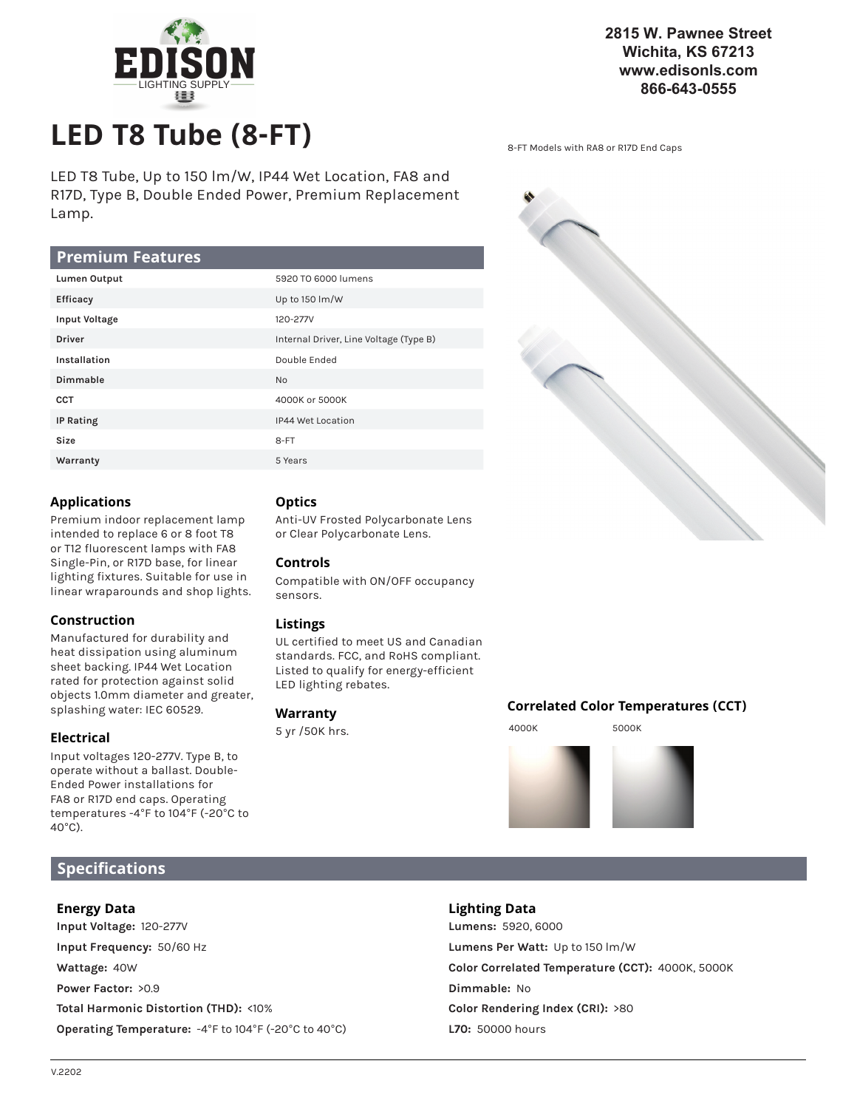

## **2815 W. Pawnee Street Wichita, KS 67213 www.edisonls.com 866-643-0555**

**LED T8 Tube (8-FT)** 8-FT Models with RA8 or R17D End Caps

LED T8 Tube, Up to 150 lm/W, IP44 Wet Location, FA8 and R17D, Type B, Double Ended Power, Premium Replacement Lamp.

## **Premium Features**

| Lumen Output         | 5920 TO 6000 lumens                    |
|----------------------|----------------------------------------|
| Efficacy             | Up to 150 lm/W                         |
| <b>Input Voltage</b> | 120-277V                               |
| <b>Driver</b>        | Internal Driver, Line Voltage (Type B) |
| Installation         | Double Ended                           |
| Dimmable             | <b>No</b>                              |
| <b>CCT</b>           | 4000K or 5000K                         |
| <b>IP Rating</b>     | IP44 Wet Location                      |
| Size                 | 8-FT                                   |
| Warranty             | 5 Years                                |

## **Applications**

Premium indoor replacement lamp intended to replace 6 or 8 foot T8 or T12 fluorescent lamps with FA8 Single-Pin, or R17D base, for linear lighting fixtures. Suitable for use in linear wraparounds and shop lights.

## **Construction**

Manufactured for durability and heat dissipation using aluminum sheet backing. IP44 Wet Location rated for protection against solid objects 1.0mm diameter and greater, splashing water: IEC 60529.

## **Electrical**

Input voltages 120-277V. Type B, to operate without a ballast. Double-Ended Power installations for FA8 or R17D end caps. Operating temperatures -4°F to 104°F (-20°C to 40°C).

# **Optics**

Anti-UV Frosted Polycarbonate Lens or Clear Polycarbonate Lens.

## **Controls**

Compatible with ON/OFF occupancy sensors.

## **Listings**

UL certified to meet US and Canadian standards. FCC, and RoHS compliant. Listed to qualify for energy-efficient LED lighting rebates.

## **Warranty**

5 yr /50K hrs.



## **Correlated Color Temperatures (CCT)**

4000K 5000K



## **Specifications**

## **Energy Data**

**Input Voltage:** 120-277V **Input Frequency:** 50/60 Hz **Wattage:** 40W **Power Factor:** >0.9 **Total Harmonic Distortion (THD):** <10% **Operating Temperature:** -4°F to 104°F (-20°C to 40°C)

## **Lighting Data**

**Lumens:** 5920, 6000 **Lumens Per Watt:** Up to 150 lm/W **Color Correlated Temperature (CCT):** 4000K, 5000K **Dimmable:** No **Color Rendering Index (CRI):** >80 **L70:** 50000 hours